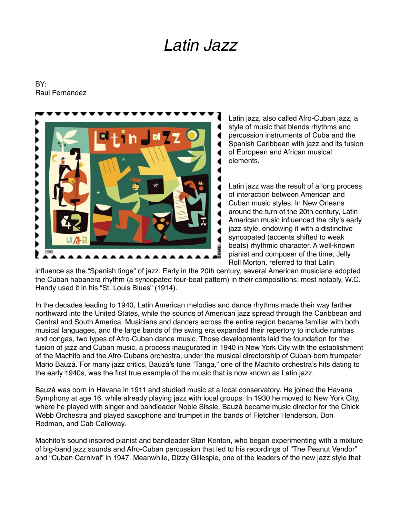## *Latin Jazz*

## BY: Raul Fernandez



Latin jazz, also called Afro-Cuban jazz, a style of music that blends rhythms and percussion instruments of Cuba and the Spanish Caribbean with jazz and its fusion of European and African musical elements.

Latin jazz was the result of a long process of interaction between American and Cuban music styles. In New Orleans around the turn of the 20th century, Latin American music influenced the city's early jazz style, endowing it with a distinctive syncopated (accents shifted to weak beats) rhythmic character. A well-known pianist and composer of the time, Jelly Roll Morton, referred to that Latin

influence as the "Spanish tinge" of jazz. Early in the 20th century, several American musicians adopted the Cuban habanera rhythm (a syncopated four-beat pattern) in their compositions; most notably, W.C. Handy used it in his "St. Louis Blues" (1914).

In the decades leading to 1940, Latin American melodies and dance rhythms made their way farther northward into the United States, while the sounds of American jazz spread through the Caribbean and Central and South America. Musicians and dancers across the entire region became familiar with both musical languages, and the large bands of the swing era expanded their repertory to include rumbas and congas, two types of Afro-Cuban dance music. Those developments laid the foundation for the fusion of jazz and Cuban music, a process inaugurated in 1940 in New York City with the establishment of the Machito and the Afro-Cubans orchestra, under the musical directorship of Cuban-born trumpeter Mario Bauzá. For many jazz critics, Bauzá's tune "Tanga," one of the Machito orchestra's hits dating to the early 1940s, was the first true example of the music that is now known as Latin jazz.

Bauzá was born in Havana in 1911 and studied music at a local conservatory. He joined the Havana Symphony at age 16, while already playing jazz with local groups. In 1930 he moved to New York City, where he played with singer and bandleader Noble Sissle. Bauzá became music director for the Chick Webb Orchestra and played saxophone and trumpet in the bands of Fletcher Henderson, Don Redman, and Cab Calloway.

Machito's sound inspired pianist and bandleader Stan Kenton, who began experimenting with a mixture of big-band jazz sounds and Afro-Cuban percussion that led to his recordings of "The Peanut Vendor" and "Cuban Carnival" in 1947. Meanwhile, Dizzy Gillespie, one of the leaders of the new jazz style that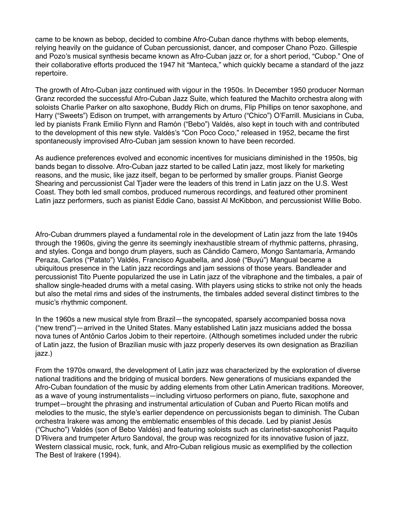came to be known as bebop, decided to combine Afro-Cuban dance rhythms with bebop elements, relying heavily on the guidance of Cuban percussionist, dancer, and composer Chano Pozo. Gillespie and Pozo's musical synthesis became known as Afro-Cuban jazz or, for a short period, "Cubop." One of their collaborative efforts produced the 1947 hit "Manteca," which quickly became a standard of the jazz repertoire.

The growth of Afro-Cuban jazz continued with vigour in the 1950s. In December 1950 producer Norman Granz recorded the successful Afro-Cuban Jazz Suite, which featured the Machito orchestra along with soloists Charlie Parker on alto saxophone, Buddy Rich on drums, Flip Phillips on tenor saxophone, and Harry ("Sweets") Edison on trumpet, with arrangements by Arturo ("Chico") O'Farrill. Musicians in Cuba, led by pianists Frank Emilio Flynn and Ramón ("Bebo") Valdés, also kept in touch with and contributed to the development of this new style. Valdés's "Con Poco Coco," released in 1952, became the first spontaneously improvised Afro-Cuban jam session known to have been recorded.

As audience preferences evolved and economic incentives for musicians diminished in the 1950s, big bands began to dissolve. Afro-Cuban jazz started to be called Latin jazz, most likely for marketing reasons, and the music, like jazz itself, began to be performed by smaller groups. Pianist George Shearing and percussionist Cal Tjader were the leaders of this trend in Latin jazz on the U.S. West Coast. They both led small combos, produced numerous recordings, and featured other prominent Latin jazz performers, such as pianist Eddie Cano, bassist Al McKibbon, and percussionist Willie Bobo.

Afro-Cuban drummers played a fundamental role in the development of Latin jazz from the late 1940s through the 1960s, giving the genre its seemingly inexhaustible stream of rhythmic patterns, phrasing, and styles. Conga and bongo drum players, such as Cándido Camero, Mongo Santamaría, Armando Peraza, Carlos ("Patato") Valdés, Francisco Aguabella, and José ("Buyú") Mangual became a ubiquitous presence in the Latin jazz recordings and jam sessions of those years. Bandleader and percussionist Tito Puente popularized the use in Latin jazz of the vibraphone and the timbales, a pair of shallow single-headed drums with a metal casing. With players using sticks to strike not only the heads but also the metal rims and sides of the instruments, the timbales added several distinct timbres to the music's rhythmic component.

In the 1960s a new musical style from Brazil—the syncopated, sparsely accompanied bossa nova ("new trend")—arrived in the United States. Many established Latin jazz musicians added the bossa nova tunes of Antônio Carlos Jobim to their repertoire. (Although sometimes included under the rubric of Latin jazz, the fusion of Brazilian music with jazz properly deserves its own designation as Brazilian jazz.)

From the 1970s onward, the development of Latin jazz was characterized by the exploration of diverse national traditions and the bridging of musical borders. New generations of musicians expanded the Afro-Cuban foundation of the music by adding elements from other Latin American traditions. Moreover, as a wave of young instrumentalists—including virtuoso performers on piano, flute, saxophone and trumpet—brought the phrasing and instrumental articulation of Cuban and Puerto Rican motifs and melodies to the music, the style's earlier dependence on percussionists began to diminish. The Cuban orchestra Irakere was among the emblematic ensembles of this decade. Led by pianist Jesús ("Chucho") Valdés (son of Bebo Valdés) and featuring soloists such as clarinetist-saxophonist Paquito D'Rivera and trumpeter Arturo Sandoval, the group was recognized for its innovative fusion of jazz, Western classical music, rock, funk, and Afro-Cuban religious music as exemplified by the collection The Best of Irakere (1994).